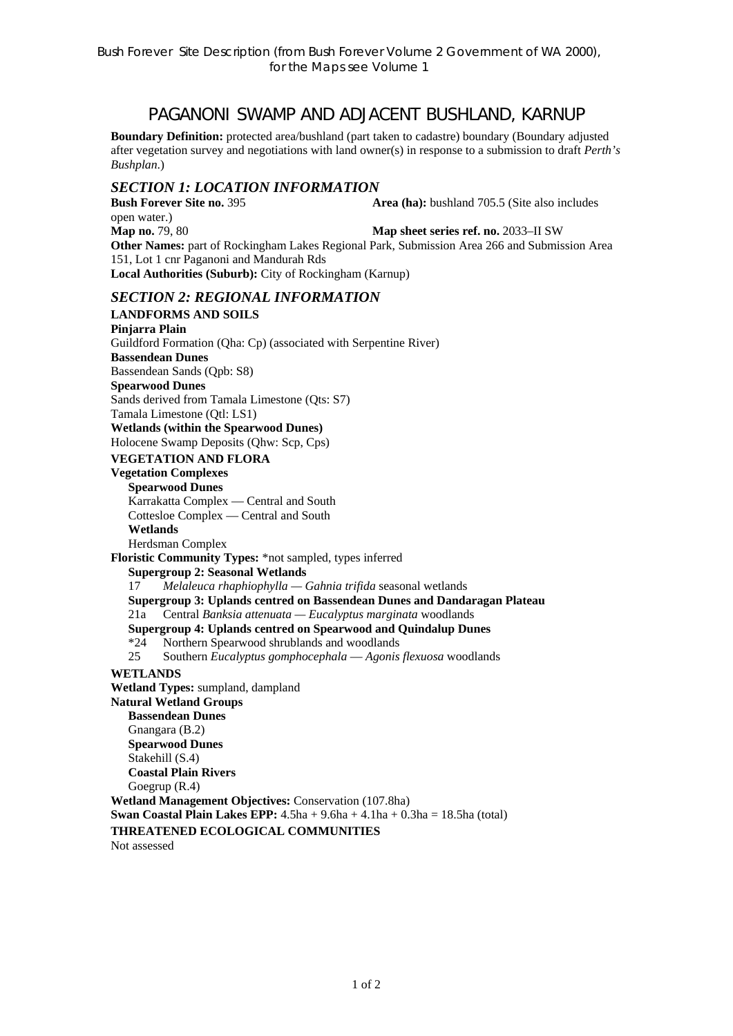# PAGANONI SWAMP AND ADJACENT BUSHLAND, KARNUP

**Boundary Definition:** protected area/bushland (part taken to cadastre) boundary (Boundary adjusted after vegetation survey and negotiations with land owner(s) in response to a submission to draft *Perth's Bushplan*.)

### *SECTION 1: LOCATION INFORMATION*

**Bush Forever Site no. 395 <b>Area (ha):** bushland 705.5 (Site also includes open water.) **Map no.** 79, 80 **Map sheet series ref. no.** 2033–II SW **Other Names:** part of Rockingham Lakes Regional Park, Submission Area 266 and Submission Area 151, Lot 1 cnr Paganoni and Mandurah Rds **Local Authorities (Suburb):** City of Rockingham (Karnup)

### *SECTION 2: REGIONAL INFORMATION*

**LANDFORMS AND SOILS Pinjarra Plain**  Guildford Formation (Qha: Cp) (associated with Serpentine River) **Bassendean Dunes**  Bassendean Sands (Qpb: S8) **Spearwood Dunes**  Sands derived from Tamala Limestone (Qts: S7) Tamala Limestone (Qtl: LS1) **Wetlands (within the Spearwood Dunes)**  Holocene Swamp Deposits (Qhw: Scp, Cps) **VEGETATION AND FLORA Vegetation Complexes Spearwood Dunes**  Karrakatta Complex — Central and South Cottesloe Complex — Central and South **Wetlands**  Herdsman Complex **Floristic Community Types:** \*not sampled, types inferred **Supergroup 2: Seasonal Wetlands** 17 *Melaleuca rhaphiophylla — Gahnia trifida* seasonal wetlands **Supergroup 3: Uplands centred on Bassendean Dunes and Dandaragan Plateau**  21a Central *Banksia attenuata — Eucalyptus marginata* woodlands **Supergroup 4: Uplands centred on Spearwood and Quindalup Dunes**  \*24 Northern Spearwood shrublands and woodlands 25 Southern *Eucalyptus gomphocephala* — *Agonis flexuosa* woodlands **WETLANDS Wetland Types:** sumpland, dampland **Natural Wetland Groups Bassendean Dunes**  Gnangara (B.2) **Spearwood Dunes**  Stakehill (S.4) **Coastal Plain Rivers**  Goegrup (R.4) **Wetland Management Objectives:** Conservation (107.8ha) **Swan Coastal Plain Lakes EPP:**  $4.5ha + 9.6ha + 4.1ha + 0.3ha = 18.5ha$  (total) **THREATENED ECOLOGICAL COMMUNITIES**  Not assessed